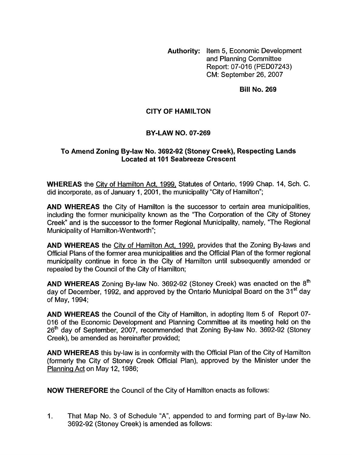**Authority:** Item **5,** Economic Development and Planning Committee Report: 07-016 (PED07243) CM: September 26,2007

**Bill No. 269** 

## **CITY OF HAMILTON**

## **BY-LAW NO. 07-269**

## **To Amend Zoning Bylaw No. 3692-92 (Stoney Creek), Respecting Lands Located at 101 Seabreeze Crescent**

**WHEREAS** the City of Hamilton Act, 1999, Statutes of Ontario, 1999 Chap. 14, Sch. C. did incorporate, as of January 1, 2001, the municipality "City of Hamilton";

**AND WHEREAS** the City of Hamilton is the successor to certain area municipalities, including the former municipality known as the "The Corporation of the City of Stoney Creek" and is the successor to the former Regional Municipality, namely, "The Regional Municipality of Hamilton-Wentworth";

**AND WHEREAS** the City of Hamilton Act, 1999, provides that the Zoning By-laws and Official Plans of the former area municipalities and the Official Plan of the former regional municipality continue in force in the City of Hamilton until subsequently amended or repealed by the Council of the City of Hamilton;

**AND WHEREAS** Zoning By-law No. 3692-92 (Stoney Creek) was enacted on the 8<sup>th</sup> day of December, 1992, and approved by the Ontario Municipal Board on the 31<sup>st</sup> day of May, 1994;

**AND WHEREAS** the Council of the City of Hamilton, in adopting Item 5 of Report 07- 016 of the Economic Development and Planning Committee at its meeting held on the 26\* day of September, 2007, recommended that Zoning By-law **No.** 3692-92 (Stoney Creek), be amended as hereinafter provided;

**AND WHEREAS** this by-law is in conformity with the Official Plan of the City of Hamilton (formerly the City of Stoney Creek Official Plan), approved by the Minister under the Planninq Act on May 12, 1986;

**NOW THEREFORE** the Council of the City of Hamilton enacts as follows:

1. That Map No. 3 of Schedule **"A",** appended to and forming part of By-law No. 3692-92 (Stoney Creek) **is** amended as follows: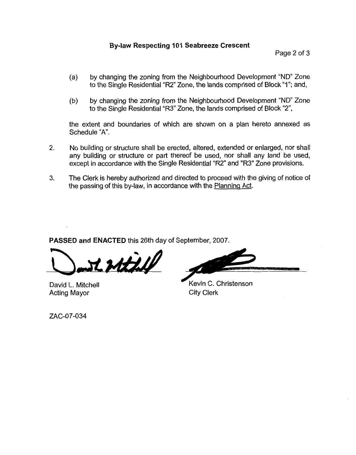## **Bylaw Respecting 101 Seabreeze Crescent**

Page 2 of 3

- (a) by changing the zoning from the Neighbourhood Development "ND" Zone to the Single Residential "R2" Zone, the lands comprised of Block "1"; and,
- (b) by changing the zoning from the Neighbourhood Development "ND" Zone to the Single Residential "R3" Zone, the lands comprised of Block "2",

the extent and boundaries of which are shown **on** a plan hereto annexed as Schedule "A".

- 2. No building or structure shall be erected, altered, extended or enlarged, nor shall any building or structure or part thereof be used, nor shall any land be used, except in accordance with the Single Residential "R2" and "R3" Zone provisions.
- **3.** The Clerk is hereby authorized and directed to proceed with the giving of notice of the passing of this by-law, in accordance with the Planning Act.

**PASSED and ENACTED** this 26th day of September, 2007.

will

David L. Mitchell Acting Mayor **City Clerk** 

Kevin C. Christenson

ZAC-07-034